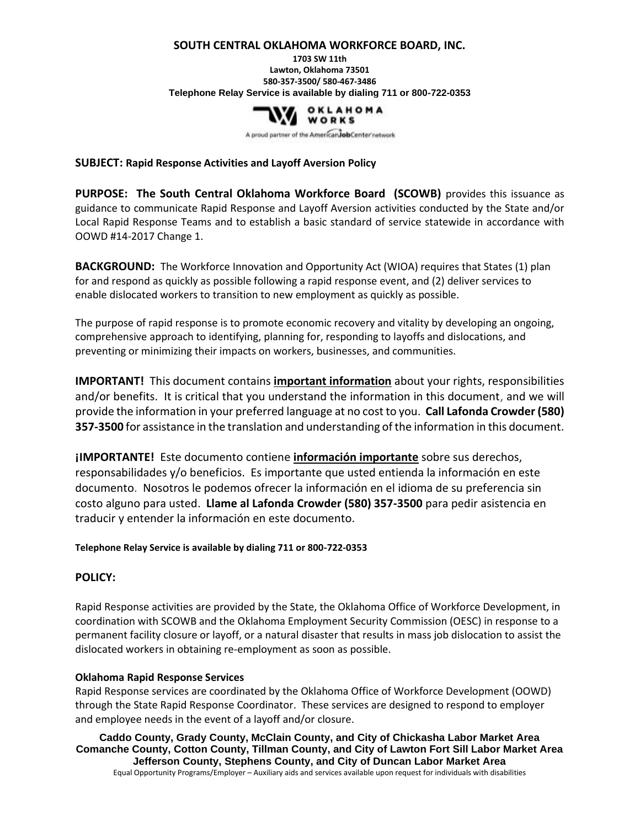#### **SOUTH CENTRAL OKLAHOMA WORKFORCE BOARD, INC.**

**1703 SW 11th Lawton, Oklahoma 73501 580-357-3500/ 580-467-3486 Telephone Relay Service is available by dialing 711 or 800-722-0353**



A proud partner of the American Job Center network

#### **SUBJECT: Rapid Response Activities and Layoff Aversion Policy**

**PURPOSE: The South Central Oklahoma Workforce Board (SCOWB)** provides this issuance as guidance to communicate Rapid Response and Layoff Aversion activities conducted by the State and/or Local Rapid Response Teams and to establish a basic standard of service statewide in accordance with OOWD #14-2017 Change 1.

**BACKGROUND:** The Workforce Innovation and Opportunity Act (WIOA) requires that States (1) plan for and respond as quickly as possible following a rapid response event, and (2) deliver services to enable dislocated workers to transition to new employment as quickly as possible.

The purpose of rapid response is to promote economic recovery and vitality by developing an ongoing, comprehensive approach to identifying, planning for, responding to layoffs and dislocations, and preventing or minimizing their impacts on workers, businesses, and communities.

**IMPORTANT!** This document contains **important information** about your rights, responsibilities and/or benefits. It is critical that you understand the information in this document, and we will provide the information in your preferred language at no cost to you. **Call Lafonda Crowder (580) 357-3500** for assistance in the translation and understanding of the information in this document.

**¡IMPORTANTE!** Este documento contiene **información importante** sobre sus derechos, responsabilidades y/o beneficios. Es importante que usted entienda la información en este documento. Nosotros le podemos ofrecer la información en el idioma de su preferencia sin costo alguno para usted. **Llame al Lafonda Crowder (580) 357-3500** para pedir asistencia en traducir y entender la información en este documento.

#### **Telephone Relay Service is available by dialing 711 or 800-722-0353**

### **POLICY:**

Rapid Response activities are provided by the State, the Oklahoma Office of Workforce Development, in coordination with SCOWB and the Oklahoma Employment Security Commission (OESC) in response to a permanent facility closure or layoff, or a natural disaster that results in mass job dislocation to assist the dislocated workers in obtaining re-employment as soon as possible.

### **Oklahoma Rapid Response Services**

Rapid Response services are coordinated by the Oklahoma Office of Workforce Development (OOWD) through the State Rapid Response Coordinator. These services are designed to respond to employer and employee needs in the event of a layoff and/or closure.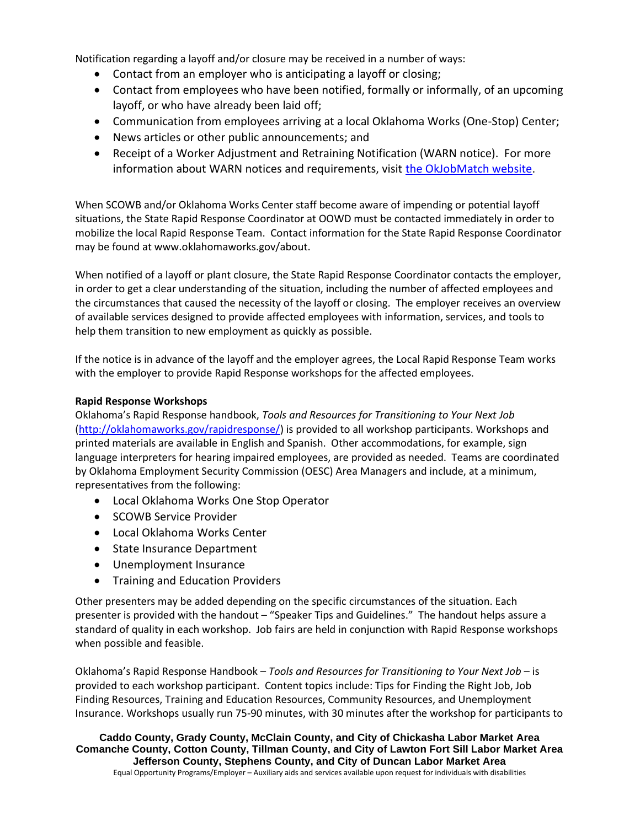Notification regarding a layoff and/or closure may be received in a number of ways:

- Contact from an employer who is anticipating a layoff or closing;
- Contact from employees who have been notified, formally or informally, of an upcoming layoff, or who have already been laid off;
- Communication from employees arriving at a local Oklahoma Works (One-Stop) Center;
- News articles or other public announcements; and
- Receipt of a Worker Adjustment and Retraining Notification (WARN notice). For more information about WARN notices and requirements, visit [the OkJobMatch website.](https://okjobmatch.com/ada/mn_warninfo_dsp.cfm)

When SCOWB and/or Oklahoma Works Center staff become aware of impending or potential layoff situations, the State Rapid Response Coordinator at OOWD must be contacted immediately in order to mobilize the local Rapid Response Team. Contact information for the State Rapid Response Coordinator may be found at www.oklahomaworks.gov/about.

When notified of a layoff or plant closure, the State Rapid Response Coordinator contacts the employer, in order to get a clear understanding of the situation, including the number of affected employees and the circumstances that caused the necessity of the layoff or closing. The employer receives an overview of available services designed to provide affected employees with information, services, and tools to help them transition to new employment as quickly as possible.

If the notice is in advance of the layoff and the employer agrees, the Local Rapid Response Team works with the employer to provide Rapid Response workshops for the affected employees.

### **Rapid Response Workshops**

Oklahoma's Rapid Response handbook, *Tools and Resources for Transitioning to Your Next Job* [\(http://oklahomaworks.gov/rapidresponse/\)](http://oklahomaworks.gov/rapidresponse/) is provided to all workshop participants. Workshops and printed materials are available in English and Spanish. Other accommodations, for example, sign language interpreters for hearing impaired employees, are provided as needed. Teams are coordinated by Oklahoma Employment Security Commission (OESC) Area Managers and include, at a minimum, representatives from the following:

- Local Oklahoma Works One Stop Operator
- SCOWB Service Provider
- Local Oklahoma Works Center
- State Insurance Department
- Unemployment Insurance
- Training and Education Providers

Other presenters may be added depending on the specific circumstances of the situation. Each presenter is provided with the handout – "Speaker Tips and Guidelines." The handout helps assure a standard of quality in each workshop. Job fairs are held in conjunction with Rapid Response workshops when possible and feasible.

Oklahoma's Rapid Response Handbook – *Tools and Resources for Transitioning to Your Next Job* – is provided to each workshop participant. Content topics include: Tips for Finding the Right Job, Job Finding Resources, Training and Education Resources, Community Resources, and Unemployment Insurance. Workshops usually run 75-90 minutes, with 30 minutes after the workshop for participants to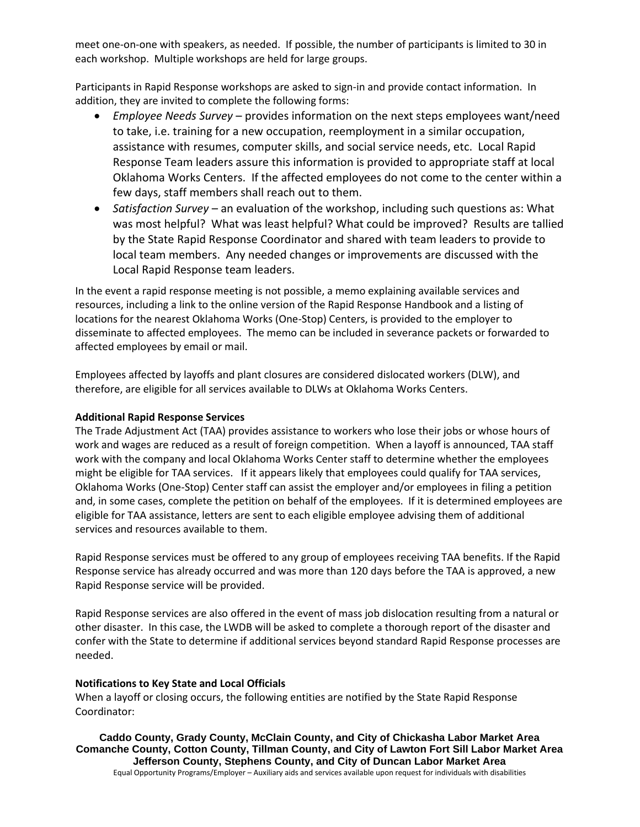meet one-on-one with speakers, as needed. If possible, the number of participants is limited to 30 in each workshop. Multiple workshops are held for large groups.

Participants in Rapid Response workshops are asked to sign-in and provide contact information. In addition, they are invited to complete the following forms:

- *Employee Needs Survey* provides information on the next steps employees want/need to take, i.e. training for a new occupation, reemployment in a similar occupation, assistance with resumes, computer skills, and social service needs, etc. Local Rapid Response Team leaders assure this information is provided to appropriate staff at local Oklahoma Works Centers. If the affected employees do not come to the center within a few days, staff members shall reach out to them.
- *Satisfaction Survey* an evaluation of the workshop, including such questions as: What was most helpful? What was least helpful? What could be improved? Results are tallied by the State Rapid Response Coordinator and shared with team leaders to provide to local team members. Any needed changes or improvements are discussed with the Local Rapid Response team leaders.

In the event a rapid response meeting is not possible, a memo explaining available services and resources, including a link to the online version of the Rapid Response Handbook and a listing of locations for the nearest Oklahoma Works (One-Stop) Centers, is provided to the employer to disseminate to affected employees. The memo can be included in severance packets or forwarded to affected employees by email or mail.

Employees affected by layoffs and plant closures are considered dislocated workers (DLW), and therefore, are eligible for all services available to DLWs at Oklahoma Works Centers.

## **Additional Rapid Response Services**

The Trade Adjustment Act (TAA) provides assistance to workers who lose their jobs or whose hours of work and wages are reduced as a result of foreign competition. When a layoff is announced, TAA staff work with the company and local Oklahoma Works Center staff to determine whether the employees might be eligible for TAA services. If it appears likely that employees could qualify for TAA services, Oklahoma Works (One-Stop) Center staff can assist the employer and/or employees in filing a petition and, in some cases, complete the petition on behalf of the employees. If it is determined employees are eligible for TAA assistance, letters are sent to each eligible employee advising them of additional services and resources available to them.

Rapid Response services must be offered to any group of employees receiving TAA benefits. If the Rapid Response service has already occurred and was more than 120 days before the TAA is approved, a new Rapid Response service will be provided.

Rapid Response services are also offered in the event of mass job dislocation resulting from a natural or other disaster. In this case, the LWDB will be asked to complete a thorough report of the disaster and confer with the State to determine if additional services beyond standard Rapid Response processes are needed.

### **Notifications to Key State and Local Officials**

When a layoff or closing occurs, the following entities are notified by the State Rapid Response Coordinator: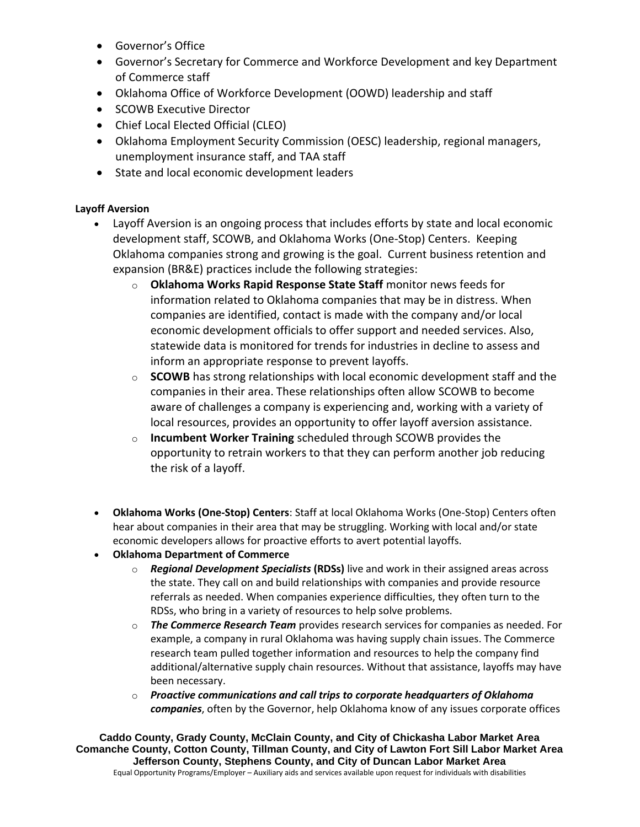- Governor's Office
- Governor's Secretary for Commerce and Workforce Development and key Department of Commerce staff
- Oklahoma Office of Workforce Development (OOWD) leadership and staff
- SCOWB Executive Director
- Chief Local Elected Official (CLEO)
- Oklahoma Employment Security Commission (OESC) leadership, regional managers, unemployment insurance staff, and TAA staff
- State and local economic development leaders

# **Layoff Aversion**

- Layoff Aversion is an ongoing process that includes efforts by state and local economic development staff, SCOWB, and Oklahoma Works (One-Stop) Centers. Keeping Oklahoma companies strong and growing is the goal. Current business retention and expansion (BR&E) practices include the following strategies:
	- o **Oklahoma Works Rapid Response State Staff** monitor news feeds for information related to Oklahoma companies that may be in distress. When companies are identified, contact is made with the company and/or local economic development officials to offer support and needed services. Also, statewide data is monitored for trends for industries in decline to assess and inform an appropriate response to prevent layoffs.
	- $\circ$  **SCOWB** has strong relationships with local economic development staff and the companies in their area. These relationships often allow SCOWB to become aware of challenges a company is experiencing and, working with a variety of local resources, provides an opportunity to offer layoff aversion assistance.
	- o **Incumbent Worker Training** scheduled through SCOWB provides the opportunity to retrain workers to that they can perform another job reducing the risk of a layoff.
- **Oklahoma Works (One-Stop) Centers**: Staff at local Oklahoma Works (One-Stop) Centers often hear about companies in their area that may be struggling. Working with local and/or state economic developers allows for proactive efforts to avert potential layoffs.
- **Oklahoma Department of Commerce**
	- o *Regional Development Specialists* **(RDSs)** live and work in their assigned areas across the state. They call on and build relationships with companies and provide resource referrals as needed. When companies experience difficulties, they often turn to the RDSs, who bring in a variety of resources to help solve problems.
	- o *The Commerce Research Team* provides research services for companies as needed. For example, a company in rural Oklahoma was having supply chain issues. The Commerce research team pulled together information and resources to help the company find additional/alternative supply chain resources. Without that assistance, layoffs may have been necessary.
	- o *Proactive communications and call trips to corporate headquarters of Oklahoma companies*, often by the Governor, help Oklahoma know of any issues corporate offices